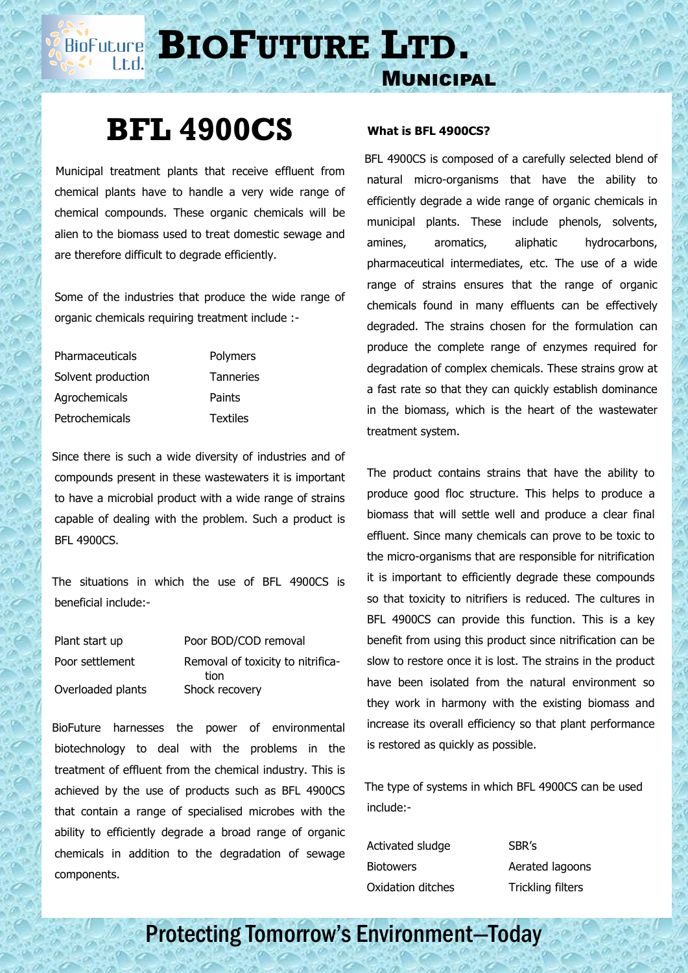**BIOFUTURE** LTD.

## **BFL 4900CS**

 Municipal treatment plants that receive effluent from chemical plants have to handle a very wide range of chemical compounds. These organic chemicals will be alien to the biomass used to treat domestic sewage and are therefore difficult to degrade efficiently.

Some of the industries that produce the wide range of organic chemicals requiring treatment include :-

Pharmaceuticals Polymers Solvent production Tanneries Agrochemicals Paints Petrochemicals Textiles

 Since there is such a wide diversity of industries and of compounds present in these wastewaters it is important to have a microbial product with a wide range of strains capable of dealing with the problem. Such a product is BFL 4900CS.

 The situations in which the use of BFL 4900CS is beneficial include:-

| Plant start up    | Poor BOD/COD removal                      |
|-------------------|-------------------------------------------|
| Poor settlement   | Removal of toxicity to nitrifica-<br>tion |
| Overloaded plants | Shock recovery                            |

 BioFuture harnesses the power of environmental biotechnology to deal with the problems in the treatment of effluent from the chemical industry. This is achieved by the use of products such as BFL 4900CS that contain a range of specialised microbes with the ability to efficiently degrade a broad range of organic chemicals in addition to the degradation of sewage components.

## **What is BFL 4900CS?**

Municipal

 BFL 4900CS is composed of a carefully selected blend of natural micro-organisms that have the ability to efficiently degrade a wide range of organic chemicals in municipal plants. These include phenols, solvents, amines, aromatics, aliphatic hydrocarbons, pharmaceutical intermediates, etc. The use of a wide range of strains ensures that the range of organic chemicals found in many effluents can be effectively degraded. The strains chosen for the formulation can produce the complete range of enzymes required for degradation of complex chemicals. These strains grow at a fast rate so that they can quickly establish dominance in the biomass, which is the heart of the wastewater treatment system.

The product contains strains that have the ability to produce good floc structure. This helps to produce a biomass that will settle well and produce a clear final effluent. Since many chemicals can prove to be toxic to the micro-organisms that are responsible for nitrification it is important to efficiently degrade these compounds so that toxicity to nitrifiers is reduced. The cultures in BFL 4900CS can provide this function. This is a key benefit from using this product since nitrification can be slow to restore once it is lost. The strains in the product have been isolated from the natural environment so they work in harmony with the existing biomass and increase its overall efficiency so that plant performance is restored as quickly as possible.

 The type of systems in which BFL 4900CS can be used include:-

Activated sludge SBR's Biotowers **Aerated lagoons** Oxidation ditches Trickling filters

Protecting Tomorrow's Environment—Today